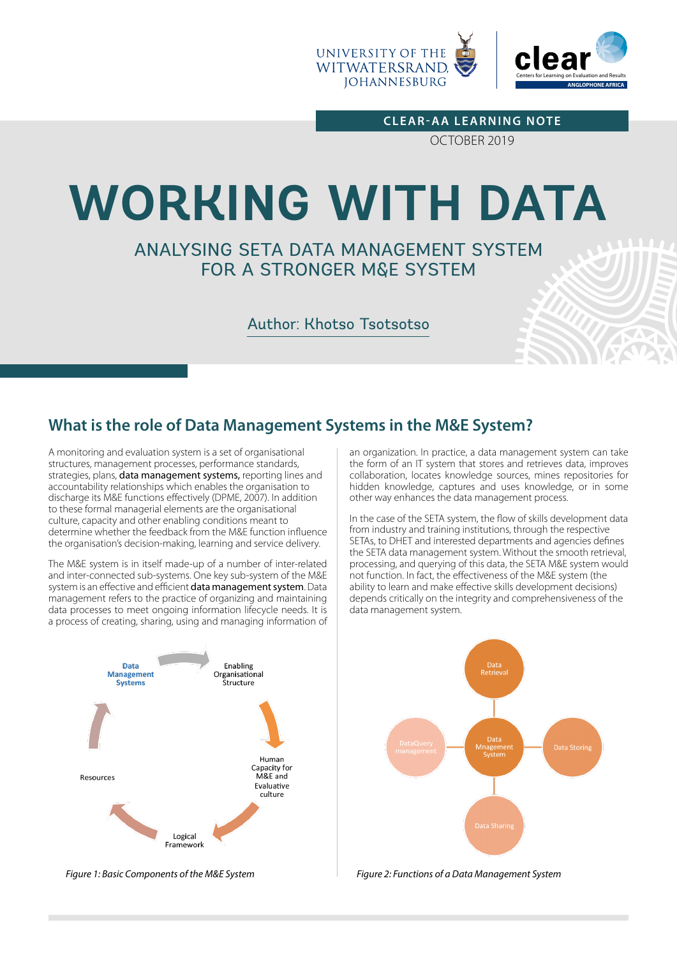

**CLEAR-AA LEARNING NOTE** OCTOBER 2019

# **WORKING WITH DATA**

# ANALYSING SETA DATA MANAGEMENT SYSTEM FOR A STRONGER M&E SYSTEM

## Author: Khotso Tsotsotso

# **What is the role of Data Management Systems in the M&E System?**

A monitoring and evaluation system is a set of organisational structures, management processes, performance standards, strategies, plans, data management systems, reporting lines and accountability relationships which enables the organisation to discharge its M&E functions effectively (DPME, 2007). In addition to these formal managerial elements are the organisational culture, capacity and other enabling conditions meant to determine whether the feedback from the M&E function influence the organisation's decision-making, learning and service delivery.

The M&E system is in itself made-up of a number of inter-related and inter-connected sub-systems. One key sub-system of the M&E system is an effective and efficient data management system. Data management refers to the practice of organizing and maintaining data processes to meet ongoing information lifecycle needs. It is a process of creating, sharing, using and managing information of

> Enabling<br>Organisational Data **Management** Systems .<br>Structure Human Capacity for<br>M&E and Resources Evaluative culture Logical Framework

an organization. In practice, a data management system can take the form of an IT system that stores and retrieves data, improves collaboration, locates knowledge sources, mines repositories for hidden knowledge, captures and uses knowledge, or in some other way enhances the data management process.

In the case of the SETA system, the flow of skills development data from industry and training institutions, through the respective SETAs, to DHET and interested departments and agencies defines the SETA data management system. Without the smooth retrieval, processing, and querying of this data, the SETA M&E system would not function. In fact, the effectiveness of the M&E system (the ability to learn and make effective skills development decisions) depends critically on the integrity and comprehensiveness of the data management system.



*Figure 1: Basic Components of the M&E System Figure 2: Functions of a Data Management System*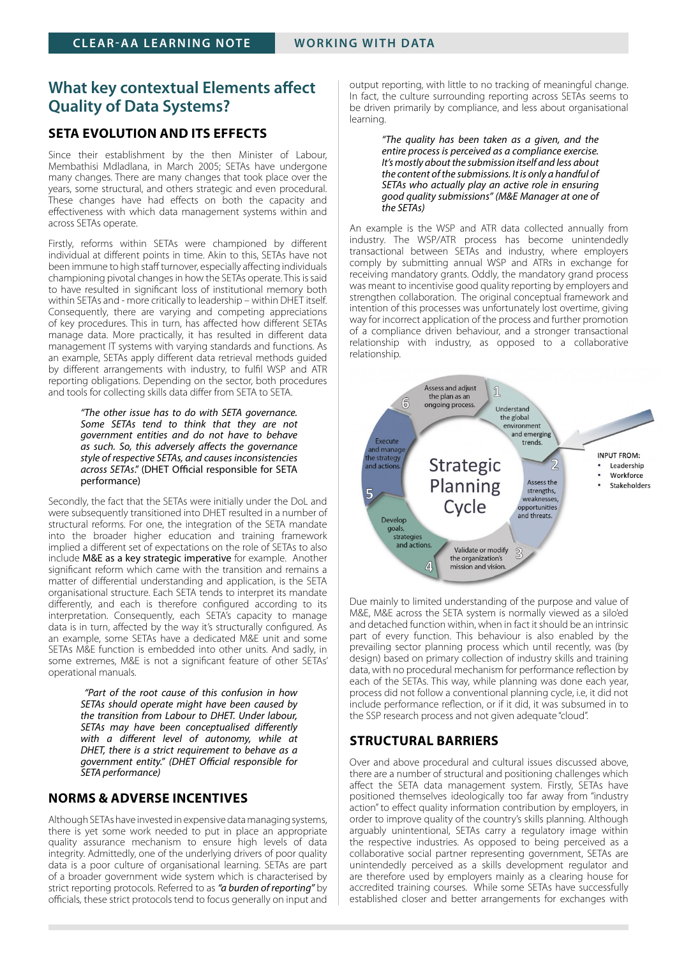## **What key contextual Elements affect Quality of Data Systems?**

#### **SETA EVOLUTION AND ITS EFFECTS**

Since their establishment by the then Minister of Labour, Membathisi Mdladlana, in March 2005; SETAs have undergone many changes. There are many changes that took place over the years, some structural, and others strategic and even procedural. These changes have had effects on both the capacity and effectiveness with which data management systems within and across SETAs operate.

Firstly, reforms within SETAs were championed by different individual at different points in time. Akin to this, SETAs have not been immune to high staff turnover, especially affecting individuals championing pivotal changes in how the SETAs operate. This is said to have resulted in significant loss of institutional memory both within SETAs and - more critically to leadership – within DHET itself. Consequently, there are varying and competing appreciations of key procedures. This in turn, has affected how different SETAs manage data. More practically, it has resulted in different data management IT systems with varying standards and functions. As an example, SETAs apply different data retrieval methods guided by different arrangements with industry, to fulfil WSP and ATR reporting obligations. Depending on the sector, both procedures and tools for collecting skills data differ from SETA to SETA.

> *"The other issue has to do with SETA governance. Some SETAs tend to think that they are not government entities and do not have to behave as such. So, this adversely affects the governance style of respective SETAs, and causes inconsistencies across SETAs*." (DHET Official responsible for SETA performance)

Secondly, the fact that the SETAs were initially under the DoL and were subsequently transitioned into DHET resulted in a number of structural reforms. For one, the integration of the SETA mandate into the broader higher education and training framework implied a different set of expectations on the role of SETAs to also include M&E as a key strategic imperative for example. Another significant reform which came with the transition and remains a matter of differential understanding and application, is the SETA organisational structure. Each SETA tends to interpret its mandate differently, and each is therefore configured according to its interpretation. Consequently, each SETA's capacity to manage data is in turn, affected by the way it's structurally configured. As an example, some SETAs have a dedicated M&E unit and some SETAs M&E function is embedded into other units. And sadly, in some extremes, M&E is not a significant feature of other SETAs' operational manuals.

> *"Part of the root cause of this confusion in how SETAs should operate might have been caused by the transition from Labour to DHET. Under labour, SETAs may have been conceptualised differently with a different level of autonomy, while at DHET, there is a strict requirement to behave as a government entity." (DHET Official responsible for SETA performance)*

#### **NORMS & ADVERSE INCENTIVES**

Although SETAs have invested in expensive data managing systems, there is yet some work needed to put in place an appropriate quality assurance mechanism to ensure high levels of data integrity. Admittedly, one of the underlying drivers of poor quality data is a poor culture of organisational learning. SETAs are part of a broader government wide system which is characterised by strict reporting protocols. Referred to as *"a burden of reporting"* by officials*,* these strict protocols tend to focus generally on input and

output reporting, with little to no tracking of meaningful change. In fact, the culture surrounding reporting across SETAs seems to be driven primarily by compliance, and less about organisational learning.

> *"The quality has been taken as a given, and the entire process is perceived as a compliance exercise. It's mostly about the submission itself and less about the content of the submissions. It is only a handful of SETAs who actually play an active role in ensuring good quality submissions" (M&E Manager at one of the SETAs)*

An example is the WSP and ATR data collected annually from industry. The WSP/ATR process has become unintendedly transactional between SETAs and industry, where employers comply by submitting annual WSP and ATRs in exchange for receiving mandatory grants. Oddly, the mandatory grand process was meant to incentivise good quality reporting by employers and strengthen collaboration. The original conceptual framework and intention of this processes was unfortunately lost overtime, giving way for incorrect application of the process and further promotion of a compliance driven behaviour, and a stronger transactional relationship with industry, as opposed to  $a$  collaborative relationship.



Due mainly to limited understanding of the purpose and value of M&E, M&E across the SETA system is normally viewed as a silo'ed and detached function within, when in fact it should be an intrinsic part of every function. This behaviour is also enabled by the prevailing sector planning process which until recently, was (by design) based on primary collection of industry skills and training data, with no procedural mechanism for performance reflection by each of the SETAs. This way, while planning was done each year, process did not follow a conventional planning cycle, i.e, it did not include performance reflection, or if it did, it was subsumed in to the SSP research process and not given adequate "cloud".

#### **STRUCTURAL BARRIERS**

Over and above procedural and cultural issues discussed above, there are a number of structural and positioning challenges which affect the SETA data management system. Firstly, SETAs have positioned themselves ideologically too far away from "industry action" to effect quality information contribution by employers, in order to improve quality of the country's skills planning. Although arguably unintentional, SETAs carry a regulatory image within the respective industries. As opposed to being perceived as a collaborative social partner representing government, SETAs are unintendedly perceived as a skills development regulator and are therefore used by employers mainly as a clearing house for accredited training courses. While some SETAs have successfully established closer and better arrangements for exchanges with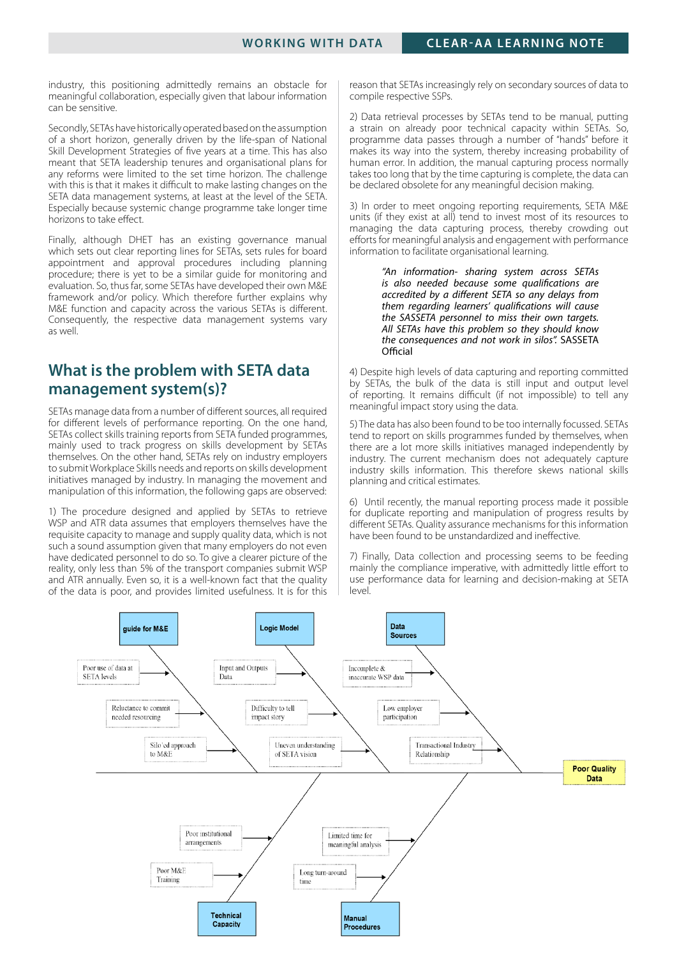industry, this positioning admittedly remains an obstacle for meaningful collaboration, especially given that labour information can be sensitive.

Secondly, SETAs have historically operated based on the assumption of a short horizon, generally driven by the life-span of National Skill Development Strategies of five years at a time. This has also meant that SETA leadership tenures and organisational plans for any reforms were limited to the set time horizon. The challenge with this is that it makes it difficult to make lasting changes on the SETA data management systems, at least at the level of the SETA. Especially because systemic change programme take longer time horizons to take effect.

Finally, although DHET has an existing governance manual which sets out clear reporting lines for SETAs, sets rules for board appointment and approval procedures including planning procedure; there is yet to be a similar guide for monitoring and evaluation. So, thus far, some SETAs have developed their own M&E framework and/or policy. Which therefore further explains why M&E function and capacity across the various SETAs is different. Consequently, the respective data management systems vary as well.

## **What is the problem with SETA data management system(s)?**

SETAs manage data from a number of different sources, all required for different levels of performance reporting. On the one hand, SETAs collect skills training reports from SETA funded programmes, mainly used to track progress on skills development by SETAs themselves. On the other hand, SETAs rely on industry employers to submit Workplace Skills needs and reports on skills development initiatives managed by industry. In managing the movement and manipulation of this information, the following gaps are observed:

1) The procedure designed and applied by SETAs to retrieve WSP and ATR data assumes that employers themselves have the requisite capacity to manage and supply quality data, which is not such a sound assumption given that many employers do not even have dedicated personnel to do so. To give a clearer picture of the reality, only less than 5% of the transport companies submit WSP and ATR annually. Even so, it is a well-known fact that the quality of the data is poor, and provides limited usefulness. It is for this

reason that SETAs increasingly rely on secondary sources of data to compile respective SSPs.

2) Data retrieval processes by SETAs tend to be manual, putting a strain on already poor technical capacity within SETAs. So, programme data passes through a number of "hands" before it makes its way into the system, thereby increasing probability of human error. In addition, the manual capturing process normally takes too long that by the time capturing is complete, the data can be declared obsolete for any meaningful decision making.

3) In order to meet ongoing reporting requirements, SETA M&E units (if they exist at all) tend to invest most of its resources to managing the data capturing process, thereby crowding out efforts for meaningful analysis and engagement with performance information to facilitate organisational learning.

> *"An information- sharing system across SETAs is also needed because some qualifications are accredited by a different SETA so any delays from them regarding learners' qualifications will cause the SASSETA personnel to miss their own targets. All SETAs have this problem so they should know the consequences and not work in silos".* SASSETA **Official**

4) Despite high levels of data capturing and reporting committed by SETAs, the bulk of the data is still input and output level of reporting. It remains difficult (if not impossible) to tell any meaningful impact story using the data.

5) The data has also been found to be too internally focussed. SETAs tend to report on skills programmes funded by themselves, when there are a lot more skills initiatives managed independently by industry. The current mechanism does not adequately capture industry skills information. This therefore skews national skills planning and critical estimates.

6) Until recently, the manual reporting process made it possible for duplicate reporting and manipulation of progress results by different SETAs. Quality assurance mechanisms for this information have been found to be unstandardized and ineffective.

7) Finally, Data collection and processing seems to be feeding mainly the compliance imperative, with admittedly little effort to use performance data for learning and decision-making at SETA level.